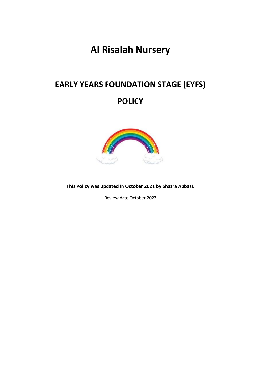# **Al Risalah Nursery**

# **EARLY YEARS FOUNDATION STAGE (EYFS) POLICY**



**This Policy was updated in October 2021 by Shazra Abbasi.**

Review date October 2022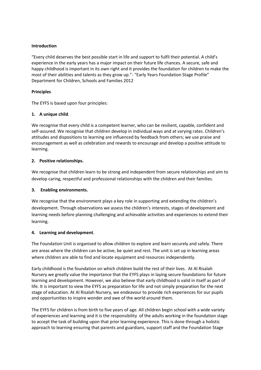### **Introduction**

"Every child deserves the best possible start in life and support to fulfil their potential. A child's experience in the early years has a major impact on their future life chances. A secure, safe and happy childhood is important in its own right and it provides the foundation for children to make the most of their abilities and talents as they grow up."- "Early Years Foundation Stage Profile" Department for Children, Schools and Families 2012

# **Principles**

The EYFS is based upon four principles:

# **1. A unique child**.

We recognise that every child is a competent learner, who can be resilient, capable, confident and self-assured. We recognise that children develop in individual ways and at varying rates. Children's attitudes and dispositions to learning are influenced by feedback from others; we use praise and encouragement as well as celebration and rewards to encourage and develop a positive attitude to learning.

# **2. Positive relationships.**

We recognise that children learn to be strong and independent from secure relationships and aim to develop caring, respectful and professional relationships with the children and their families.

#### **3. Enabling environments.**

We recognise that the environment plays a key role in supporting and extending the children's development. Through observations we assess the children's interests, stages of development and learning needs before planning challenging and achievable activities and experiences to extend their learning.

#### **4. Learning and development**.

The Foundation Unit is organised to allow children to explore and learn securely and safely. There are areas where the children can be active, be quiet and rest. The unit is set up in learning areas where children are able to find and locate equipment and resources independently.

Early childhood is the foundation on which children build the rest of their lives. At Al Risalah Nursery we greatly value the importance that the EYFS plays in laying secure foundations for future learning and development. However, we also believe that early childhood is valid in itself as part of life. It is important to view the EYFS as preparation for life and not simply preparation for the next stage of education. At Al Risalah Nursery, we endeavour to provide rich experiences for our pupils and opportunities to inspire wonder and awe of the world around them.

The EYFS for children is from birth to five years of age. All children begin school with a wide variety of experiences and learning and it is the responsibility of the adults working in the foundation stage to accept the task of building upon that prior learning experience. This is done through a holistic approach to learning ensuring that parents and guardians, support staff and the Foundation Stage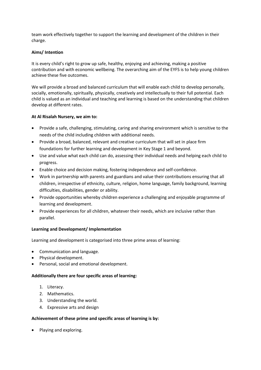team work effectively together to support the learning and development of the children in their charge.

# **Aims/ Intention**

It is every child's right to grow up safe, healthy, enjoying and achieving, making a positive contribution and with economic wellbeing. The overarching aim of the EYFS is to help young children achieve these five outcomes.

We will provide a broad and balanced curriculum that will enable each child to develop personally, socially, emotionally, spiritually, physically, creatively and intellectually to their full potential. Each child is valued as an individual and teaching and learning is based on the understanding that children develop at different rates.

# **At Al Risalah Nursery, we aim to:**

- Provide a safe, challenging, stimulating, caring and sharing environment which is sensitive to the needs of the child including children with additional needs.
- Provide a broad, balanced, relevant and creative curriculum that will set in place firm foundations for further learning and development in Key Stage 1 and beyond.
- Use and value what each child can do, assessing their individual needs and helping each child to progress.
- Enable choice and decision making, fostering independence and self-confidence.
- Work in partnership with parents and guardians and value their contributions ensuring that all children, irrespective of ethnicity, culture, religion, home language, family background, learning difficulties, disabilities, gender or ability.
- Provide opportunities whereby children experience a challenging and enjoyable programme of learning and development.
- Provide experiences for all children, whatever their needs, which are inclusive rather than parallel.

# **Learning and Development/ Implementation**

Learning and development is categorised into three prime areas of learning:

- Communication and language.
- Physical development.
- Personal, social and emotional development.

#### **Additionally there are four specific areas of learning:**

- 1. Literacy.
- 2. Mathematics.
- 3. Understanding the world.
- 4. Expressive arts and design

#### **Achievement of these prime and specific areas of learning is by:**

• Playing and exploring.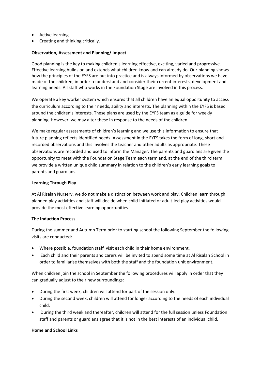- Active learning.
- Creating and thinking critically.

### **Observation, Assessment and Planning/ Impact**

Good planning is the key to making children's learning effective, exciting, varied and progressive. Effective learning builds on and extends what children know and can already do. Our planning shows how the principles of the EYFS are put into practice and is always informed by observations we have made of the children, in order to understand and consider their current interests, development and learning needs. All staff who works in the Foundation Stage are involved in this process.

We operate a key worker system which ensures that all children have an equal opportunity to access the curriculum according to their needs, ability and interests. The planning within the EYFS is based around the children's interests. These plans are used by the EYFS team as a guide for weekly planning. However, we may alter these in response to the needs of the children.

We make regular assessments of children's learning and we use this information to ensure that future planning reflects identified needs. Assessment in the EYFS takes the form of long, short and recorded observations and this involves the teacher and other adults as appropriate. These observations are recorded and used to inform the Manager. The parents and guardians are given the opportunity to meet with the Foundation Stage Team each term and, at the end of the third term, we provide a written unique child summary in relation to the children's early learning goals to parents and guardians.

#### **Learning Through Play**

At Al Risalah Nursery, we do not make a distinction between work and play. Children learn through planned play activities and staff will decide when child-initiated or adult-led play activities would provide the most effective learning opportunities.

### **The Induction Process**

During the summer and Autumn Term prior to starting school the following September the following visits are conducted:

- Where possible, foundation staff visit each child in their home environment.
- Each child and their parents and carers will be invited to spend some time at Al Risalah School in order to familiarise themselves with both the staff and the foundation unit environment.

When children join the school in September the following procedures will apply in order that they can gradually adjust to their new surroundings:

- During the first week, children will attend for part of the session only.
- During the second week, children will attend for longer according to the needs of each individual child.
- During the third week and thereafter, children will attend for the full session unless Foundation staff and parents or guardians agree that it is not in the best interests of an individual child.

#### **Home and School Links**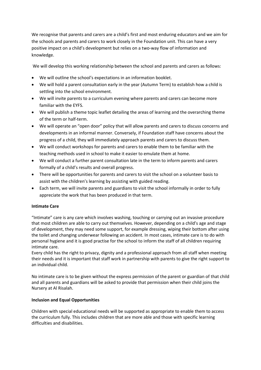We recognise that parents and carers are a child's first and most enduring educators and we aim for the schools and parents and carers to work closely in the Foundation unit. This can have a very positive impact on a child's development but relies on a two-way flow of information and knowledge.

We will develop this working relationship between the school and parents and carers as follows:

- We will outline the school's expectations in an information booklet.
- We will hold a parent consultation early in the year (Autumn Term) to establish how a child is settling into the school environment.
- We will invite parents to a curriculum evening where parents and carers can become more familiar with the EYFS.
- We will publish a theme topic leaflet detailing the areas of learning and the overarching theme of the term or half-term.
- We will operate an "open door" policy that will allow parents and carers to discuss concerns and developments in an informal manner. Conversely, if Foundation staff have concerns about the progress of a child, they will immediately approach parents and carers to discuss them.
- We will conduct workshops for parents and carers to enable them to be familiar with the teaching methods used in school to make it easier to emulate them at home.
- We will conduct a further parent consultation late in the term to inform parents and carers formally of a child's results and overall progress.
- There will be opportunities for parents and carers to visit the school on a volunteer basis to assist with the children's learning by assisting with guided reading.
- Each term, we will invite parents and guardians to visit the school informally in order to fully appreciate the work that has been produced in that term.

# **Intimate Care**

"Intimate" care is any care which involves washing, touching or carrying out an invasive procedure that most children are able to carry out themselves. However, depending on a child's age and stage of development, they may need some support, for example dressing, wiping their bottom after using the toilet and changing underwear following an accident. In most cases, intimate care is to do with personal hygiene and it is good practise for the school to inform the staff of all children requiring intimate care.

Every child has the right to privacy, dignity and a professional approach from all staff when meeting their needs and it is important that staff work in partnership with parents to give the right support to an individual child.

No intimate care is to be given without the express permission of the parent or guardian of that child and all parents and guardians will be asked to provide that permission when their child joins the Nursery at Al Risalah.

# **Inclusion and Equal Opportunities**

Children with special educational needs will be supported as appropriate to enable them to access the curriculum fully. This includes children that are more able and those with specific learning difficulties and disabilities.